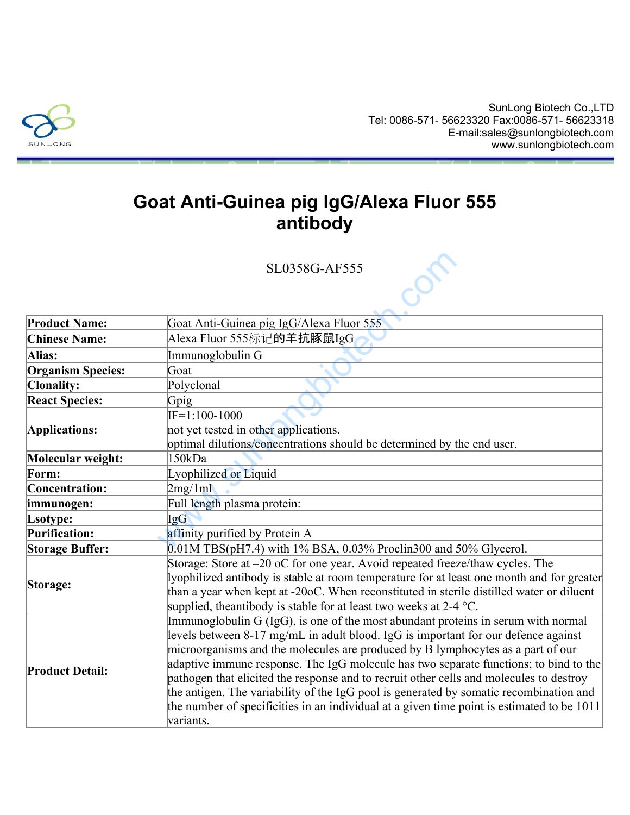

## **Goat Anti-Guinea pig IgG/Alexa Fluor 555 antibody**

|                          | SL0358G-AF555                                                                                                                                                                                                                                                                                                                                                                                                                                                                                                                                                                                                                                       |
|--------------------------|-----------------------------------------------------------------------------------------------------------------------------------------------------------------------------------------------------------------------------------------------------------------------------------------------------------------------------------------------------------------------------------------------------------------------------------------------------------------------------------------------------------------------------------------------------------------------------------------------------------------------------------------------------|
|                          |                                                                                                                                                                                                                                                                                                                                                                                                                                                                                                                                                                                                                                                     |
| <b>Product Name:</b>     | Goat Anti-Guinea pig IgG/Alexa Fluor 555                                                                                                                                                                                                                                                                                                                                                                                                                                                                                                                                                                                                            |
| <b>Chinese Name:</b>     | Alexa Fluor 555标记的羊抗豚鼠IgG                                                                                                                                                                                                                                                                                                                                                                                                                                                                                                                                                                                                                           |
| Alias:                   | Immunoglobulin G                                                                                                                                                                                                                                                                                                                                                                                                                                                                                                                                                                                                                                    |
| <b>Organism Species:</b> | Goat                                                                                                                                                                                                                                                                                                                                                                                                                                                                                                                                                                                                                                                |
| <b>Clonality:</b>        | Polyclonal                                                                                                                                                                                                                                                                                                                                                                                                                                                                                                                                                                                                                                          |
| <b>React Species:</b>    | Gpig                                                                                                                                                                                                                                                                                                                                                                                                                                                                                                                                                                                                                                                |
| Applications:            | $IF=1:100-1000$                                                                                                                                                                                                                                                                                                                                                                                                                                                                                                                                                                                                                                     |
|                          | not yet tested in other applications.                                                                                                                                                                                                                                                                                                                                                                                                                                                                                                                                                                                                               |
|                          | optimal dilutions/concentrations should be determined by the end user.                                                                                                                                                                                                                                                                                                                                                                                                                                                                                                                                                                              |
| Molecular weight:        | 150kDa                                                                                                                                                                                                                                                                                                                                                                                                                                                                                                                                                                                                                                              |
| Form:                    | Lyophilized or Liquid                                                                                                                                                                                                                                                                                                                                                                                                                                                                                                                                                                                                                               |
| Concentration:           | 2mg/1ml                                                                                                                                                                                                                                                                                                                                                                                                                                                                                                                                                                                                                                             |
| immunogen:               | Full length plasma protein:                                                                                                                                                                                                                                                                                                                                                                                                                                                                                                                                                                                                                         |
| Lsotype:                 | <b>IgG</b>                                                                                                                                                                                                                                                                                                                                                                                                                                                                                                                                                                                                                                          |
| <b>Purification:</b>     | affinity purified by Protein A                                                                                                                                                                                                                                                                                                                                                                                                                                                                                                                                                                                                                      |
| <b>Storage Buffer:</b>   | $0.01M$ TBS(pH7.4) with 1% BSA, 0.03% Proclin300 and 50% Glycerol.                                                                                                                                                                                                                                                                                                                                                                                                                                                                                                                                                                                  |
| Storage:                 | Storage: Store at -20 oC for one year. Avoid repeated freeze/thaw cycles. The<br>lyophilized antibody is stable at room temperature for at least one month and for greater<br>than a year when kept at -20oC. When reconstituted in sterile distilled water or diluent<br>supplied, the antibody is stable for at least two weeks at $2-4$ °C.                                                                                                                                                                                                                                                                                                      |
| <b>Product Detail:</b>   | Immunoglobulin G (IgG), is one of the most abundant proteins in serum with normal<br>levels between 8-17 mg/mL in adult blood. IgG is important for our defence against<br>microorganisms and the molecules are produced by B lymphocytes as a part of our<br>adaptive immune response. The IgG molecule has two separate functions; to bind to the<br>pathogen that elicited the response and to recruit other cells and molecules to destroy<br>the antigen. The variability of the IgG pool is generated by somatic recombination and<br>the number of specificities in an individual at a given time point is estimated to be 1011<br>variants. |